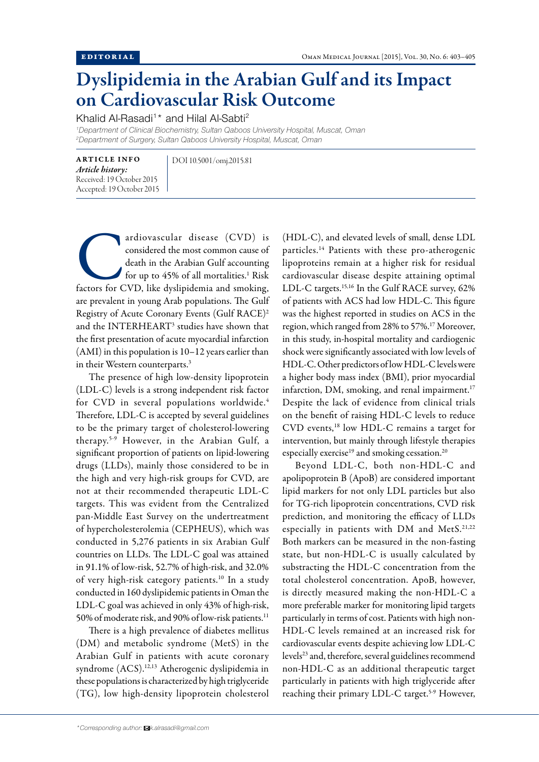## Dyslipidemia in the Arabian Gulf and its Impact on Cardiovascular Risk Outcome

Khalid Al-Rasadi<sup>1</sup>\* and Hilal Al-Sabti<sup>2</sup>

*1 Department of Clinical Biochemistry, Sultan Qaboos University Hospital, Muscat, Oman 2 Department of Surgery, Sultan Qaboos University Hospital, Muscat, Oman*

ARTICLE INFO *Article history:*  Received: 19 October 2015 Accepted: 19 October 2015 DOI 10.5001/omj.2015.81

ardiovascular disease (CVD) is<br>
considered the most common cause of<br>
death in the Arabian Gulf accounting<br>
for up to 45% of all mortalities.<sup>1</sup> Risk<br>
factors for CVD, like dyslipidemia and smoking, considered the most common cause of death in the Arabian Gulf accounting for up to 45% of all mortalities.<sup>1</sup> Risk are prevalent in young Arab populations. The Gulf Registry of Acute Coronary Events (Gulf RACE)2 and the INTERHEART<sup>3</sup> studies have shown that the first presentation of acute myocardial infarction (AMI) in this population is 10–12 years earlier than in their Western counterparts.3

The presence of high low-density lipoprotein (LDL-C) levels is a strong independent risk factor for CVD in several populations worldwide.<sup>4</sup> Therefore, LDL-C is accepted by several guidelines to be the primary target of cholesterol-lowering therapy.5-9 However, in the Arabian Gulf, a significant proportion of patients on lipid-lowering drugs (LLDs), mainly those considered to be in the high and very high-risk groups for CVD, are not at their recommended therapeutic LDL-C targets. This was evident from the Centralized pan-Middle East Survey on the undertreatment of hypercholesterolemia (CEPHEUS), which was conducted in 5,276 patients in six Arabian Gulf countries on LLDs. The LDL-C goal was attained in 91.1% of low-risk, 52.7% of high-risk, and 32.0% of very high-risk category patients.<sup>10</sup> In a study conducted in 160 dyslipidemic patients in Oman the LDL-C goal was achieved in only 43% of high-risk, 50% of moderate risk, and 90% of low-risk patients.<sup>11</sup>

There is a high prevalence of diabetes mellitus (DM) and metabolic syndrome (MetS) in the Arabian Gulf in patients with acute coronary syndrome (ACS).12,13 Atherogenic dyslipidemia in these populations is characterized by high triglyceride (TG), low high-density lipoprotein cholesterol (HDL-C), and elevated levels of small, dense LDL particles.14 Patients with these pro-atherogenic lipoproteins remain at a higher risk for residual cardiovascular disease despite attaining optimal LDL-C targets.<sup>15,16</sup> In the Gulf RACE survey, 62% of patients with ACS had low HDL-C. This figure was the highest reported in studies on ACS in the region, which ranged from 28% to 57%.17 Moreover, in this study, in-hospital mortality and cardiogenic shock were significantly associated with low levels of HDL-C. Other predictors of low HDL-C levels were a higher body mass index (BMI), prior myocardial infarction, DM, smoking, and renal impairment.<sup>17</sup> Despite the lack of evidence from clinical trials on the benefit of raising HDL-C levels to reduce CVD events,18 low HDL-C remains a target for intervention, but mainly through lifestyle therapies especially exercise<sup>19</sup> and smoking cessation.<sup>20</sup>

Beyond LDL-C, both non-HDL-C and apolipoprotein B (ApoB) are considered important lipid markers for not only LDL particles but also for TG-rich lipoprotein concentrations, CVD risk prediction, and monitoring the efficacy of LLDs especially in patients with DM and MetS.<sup>21,22</sup> Both markers can be measured in the non-fasting state, but non-HDL-C is usually calculated by substracting the HDL-C concentration from the total cholesterol concentration. ApoB, however, is directly measured making the non-HDL-C a more preferable marker for monitoring lipid targets particularly in terms of cost. Patients with high non-HDL-C levels remained at an increased risk for cardiovascular events despite achieving low LDL-C levels<sup>23</sup> and, therefore, several guidelines recommend non-HDL-C as an additional therapeutic target particularly in patients with high triglyceride after reaching their primary LDL-C target.<sup>5-9</sup> However,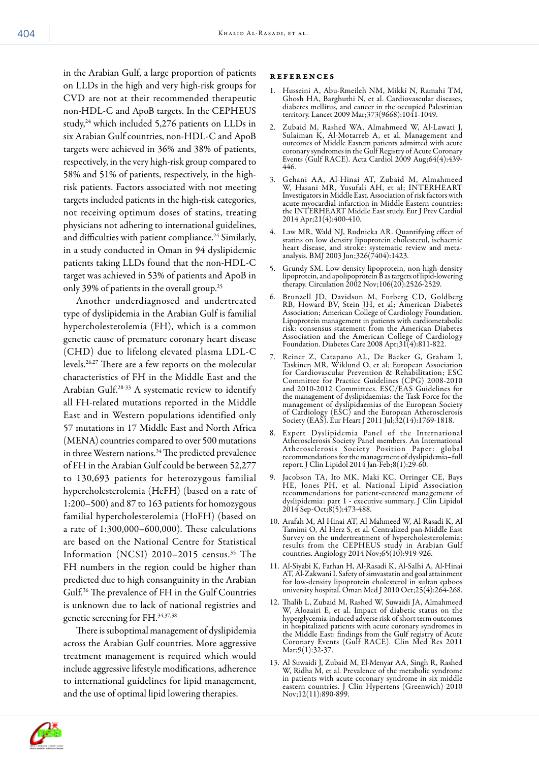in the Arabian Gulf, a large proportion of patients on LLDs in the high and very high-risk groups for CVD are not at their recommended therapeutic non-HDL-C and ApoB targets. In the CEPHEUS study,<sup>24</sup> which included 5,276 patients on LLDs in six Arabian Gulf countries, non-HDL-C and ApoB targets were achieved in 36% and 38% of patients, respectively, in the very high-risk group compared to 58% and 51% of patients, respectively, in the highrisk patients. Factors associated with not meeting targets included patients in the high-risk categories, not receiving optimum doses of statins, treating physicians not adhering to international guidelines, and difficulties with patient compliance.<sup>24</sup> Similarly, in a study conducted in Oman in 94 dyslipidemic patients taking LLDs found that the non-HDL-C target was achieved in 53% of patients and ApoB in only 39% of patients in the overall group.<sup>25</sup>

Another underdiagnosed and undertreated type of dyslipidemia in the Arabian Gulf is familial hypercholesterolemia (FH), which is a common genetic cause of premature coronary heart disease (CHD) due to lifelong elevated plasma LDL-C levels.26,27 There are a few reports on the molecular characteristics of FH in the Middle East and the Arabian Gulf.28-33 A systematic review to identify all FH-related mutations reported in the Middle East and in Western populations identified only 57 mutations in 17 Middle East and North Africa (MENA) countries compared to over 500 mutations in three Western nations.<sup>34</sup> The predicted prevalence of FH in the Arabian Gulf could be between 52,277 to 130,693 patients for heterozygous familial hypercholesterolemia (HeFH) (based on a rate of 1:200–500) and 87 to 163 patients for homozygous familial hypercholesterolemia (HoFH) (based on a rate of 1:300,000–600,000). These calculations are based on the National Centre for Statistical Information (NCSI) 2010–2015 census.35 The FH numbers in the region could be higher than predicted due to high consanguinity in the Arabian Gulf.36 The prevalence of FH in the Gulf Countries is unknown due to lack of national registries and genetic screening for FH.34,37,38

There is suboptimal management of dyslipidemia across the Arabian Gulf countries. More aggressive treatment management is required which would include aggressive lifestyle modifications, adherence to international guidelines for lipid management, and the use of optimal lipid lowering therapies.

## references

- Husseini A, Abu-Rmeileh NM, Mikki N, Ramahi TM, Ghosh HA, Barghuthi N, et al. Cardiovascular diseases, diabetes mellitus, and cancer in the occupied Palestinian territory. Lancet 2009 Mar;373(9668):1041-1049.
- 2. Zubaid M, Rashed WA, Almahmeed W, Al-Lawati J, Sulaiman K, Al-Motarreb A, et al. Management and outcomes of Middle Eastern patients admitted with acute coronary syndromes in the Gulf Registry of Acute Coronary Events (Gulf RACE). Acta Cardiol 2009 Aug;64(4):439- 446.
- 3. Gehani AA, Al-Hinai AT, Zubaid M, Almahmeed W, Hasani MR, Yusufali AH, et al; INTERHEART Investigators in Middle East. Association of risk factors with acute myocardial infarction in Middle Eastern countries: the INTERHEART Middle East study. Eur J Prev Cardiol 2014 Apr;21(4):400-410.
- 4. Law MR, Wald NJ, Rudnicka AR. Quantifying effect of statins on low density lipoprotein cholesterol, ischaemic heart disease, and stroke: systematic review and metaanalysis. BMJ 2003 Jun;326(7404):1423.
- 5. Grundy SM. Low-density lipoprotein, non-high-density lipoprotein, and apolipoprotein B as targets of lipid-lowering therapy. Circulation 2002 Nov;106(20):2526-2529.
- 6. Brunzell JD, Davidson M, Furberg CD, Goldberg RB, Howard BV, Stein JH, et al; American Diabetes Association; American College of Cardiology Foundation. Lipoprotein management in patients with cardiometabolic risk: consensus statement from the American Diabetes Association and the American College of Cardiology Foundation. Diabetes Care 2008 Apr;31(4):811-822.
- 7. Reiner Z, Catapano AL, De Backer G, Graham I, Taskinen MR, Wiklund O, et al; European Association for Cardiovascular Prevention & Rehabilitation; ESC Committee for Practice Guidelines (CPG) 2008-2010 and 2010-2012 Committees. ESC/EAS Guidelines for the management of dyslipidaemias: the Task Force for the management of dyslipidaemias of the European Society of Cardiology (ESC) and the European Atherosclerosis Society (EAS). Eur Heart J 2011 Jul;32(14):1769-1818.
- 8. Expert Dyslipidemia Panel of the International Atherosclerosis Society Panel members. An International Atherosclerosis Society Position Paper: global recommendations for the management of dyslipidemia–full report. J Clin Lipidol 2014 Jan-Feb;8(1):29-60.
- 9. Jacobson TA, Ito MK, Maki KC, Orringer CE, Bays HE, Jones PH, et al. National Lipid Association recommendations for patient-centered management of dyslipidemia: part 1 - executive summary. J Clin Lipidol 2014 Sep-Oct;8(5):473-488.
- 10. Arafah M, Al-Hinai AT, Al Mahmeed W, Al-Rasadi K, Al Tamimi O, Al Herz S, et al. Centralized pan-Middle East Survey on the undertreatment of hypercholesterolemia: results from the CEPHEUS study in Arabian Gulf countries. Angiology 2014 Nov;65(10):919-926.
- 11. Al-Siyabi K, Farhan H, Al-Rasadi K, Al-Salhi A, Al-Hinai AT, Al-Zakwani I. Safety of simvastatin and goal attainment for low-density lipoprotein cholesterol in sultan qaboos university hospital. Oman Med J 2010 Oct;25(4):264-268.
- 12. Thalib L, Zubaid M, Rashed W, Suwaidi JA, Almahmeed W, Alozairi E, et al. Impact of diabetic status on the hyperglycemia-induced adverse risk of short term outcomes in hospitalized patients with acute coronary syndromes in the Middle East: findings from the Gulf registry of Acute Coronary Events (Gulf RACE). Clin Med Res 2011 Mar;9(1):32-37.
- 13. Al Suwaidi J, Zubaid M, El-Menyar AA, Singh R, Rashed W, Ridha M, et al. Prevalence of the metabolic syndrome in patients with acute coronary syndrome in six middle eastern countries. J Clin Hypertens (Greenwich) 2010 Nov;12(11):890-899.